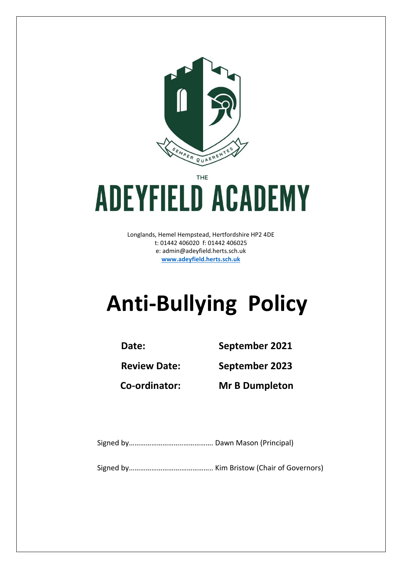

THE

# **ADEYFIELD ACADEMY**

Longlands, Hemel Hempstead, Hertfordshire HP2 4DE t: 01442 406020 f: 01442 406025 e: [admin@adeyfield.herts.sch.uk](mailto:admin@adeyfield.herts.sch.uk) **[www.adeyfield.herts.sch.uk](http://www.adeyfield.herts.sch.uk/)**

# **Anti-Bullying Policy**

**Date: September 2021**

**Review Date: September 2023**

**Co-ordinator: Mr B Dumpleton**

Signed by………………………..……………. Dawn Mason (Principal)

Signed by……………………….…………….. Kim Bristow (Chair of Governors)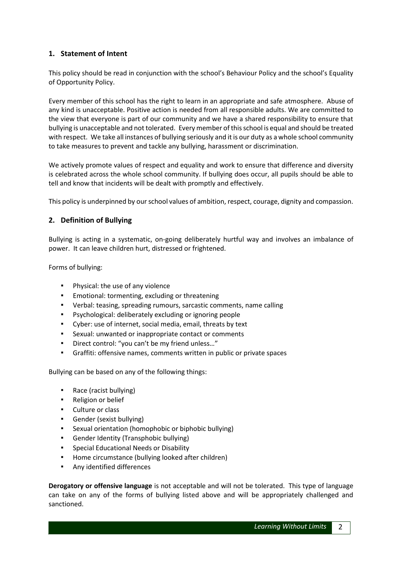# **1. Statement of Intent**

This policy should be read in conjunction with the school's Behaviour Policy and the school's Equality of Opportunity Policy.

Every member of this school has the right to learn in an appropriate and safe atmosphere. Abuse of any kind is unacceptable. Positive action is needed from all responsible adults. We are committed to the view that everyone is part of our community and we have a shared responsibility to ensure that bullying is unacceptable and not tolerated. Every member of this school is equal and should be treated with respect. We take all instances of bullying seriously and it is our duty as a whole school community to take measures to prevent and tackle any bullying, harassment or discrimination.

We actively promote values of respect and equality and work to ensure that difference and diversity is celebrated across the whole school community. If bullying does occur, all pupils should be able to tell and know that incidents will be dealt with promptly and effectively.

This policy is underpinned by our school values of ambition, respect, courage, dignity and compassion.

# **2. Definition of Bullying**

Bullying is acting in a systematic, on‐going deliberately hurtful way and involves an imbalance of power. It can leave children hurt, distressed or frightened.

Forms of bullying:

- Physical: the use of any violence
- Emotional: tormenting, excluding or threatening
- Verbal: teasing, spreading rumours, sarcastic comments, name calling
- Psychological: deliberately excluding or ignoring people
- Cyber: use of internet, social media, email, threats by text
- Sexual: unwanted or inappropriate contact or comments
- Direct control: "you can't be my friend unless..."
- Graffiti: offensive names, comments written in public or private spaces

Bullying can be based on any of the following things:

- Race (racist bullying)
- Religion or belief
- Culture or class
- Gender (sexist bullying)
- Sexual orientation (homophobic or biphobic bullying)
- Gender Identity (Transphobic bullying)
- Special Educational Needs or Disability
- Home circumstance (bullying looked after children)
- Any identified differences

**Derogatory or offensive language** is not acceptable and will not be tolerated. This type of language can take on any of the forms of bullying listed above and will be appropriately challenged and sanctioned.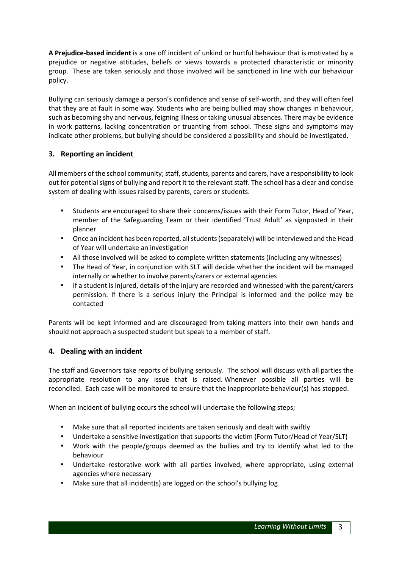**A Prejudice-based incident** is a one off incident of unkind or hurtful behaviour that is motivated by a prejudice or negative attitudes, beliefs or views towards a protected characteristic or minority group. These are taken seriously and those involved will be sanctioned in line with our behaviour policy.

Bullying can seriously damage a person's confidence and sense of self-worth, and they will often feel that they are at fault in some way. Students who are being bullied may show changes in behaviour, such as becoming shy and nervous, feigning illness or taking unusual absences. There may be evidence in work patterns, lacking concentration or truanting from school. These signs and symptoms may indicate other problems, but bullying should be considered a possibility and should be investigated.

# **3. Reporting an incident**

All members of the school community; staff, students, parents and carers, have a responsibility to look out for potential signs of bullying and report it to the relevant staff. The school has a clear and concise system of dealing with issues raised by parents, carers or students.

- Students are encouraged to share their concerns/issues with their Form Tutor, Head of Year, member of the Safeguarding Team or their identified 'Trust Adult' as signposted in their planner
- Once an incident has been reported, all students (separately) will be interviewed and the Head of Year will undertake an investigation
- All those involved will be asked to complete written statements (including any witnesses)
- The Head of Year, in conjunction with SLT will decide whether the incident will be managed internally or whether to involve parents/carers or external agencies
- If a student is injured, details of the injury are recorded and witnessed with the parent/carers permission. If there is a serious injury the Principal is informed and the police may be contacted

Parents will be kept informed and are discouraged from taking matters into their own hands and should not approach a suspected student but speak to a member of staff.

# **4. Dealing with an incident**

The staff and Governors take reports of bullying seriously. The school will discuss with all parties the appropriate resolution to any issue that is raised. Whenever possible all parties will be reconciled. Each case will be monitored to ensure that the inappropriate behaviour(s) has stopped.

When an incident of bullying occurs the school will undertake the following steps;

- Make sure that all reported incidents are taken seriously and dealt with swiftly
- Undertake a sensitive investigation that supports the victim (Form Tutor/Head of Year/SLT)
- Work with the people/groups deemed as the bullies and try to identify what led to the behaviour
- Undertake restorative work with all parties involved, where appropriate, using external agencies where necessary
- Make sure that all incident(s) are logged on the school's bullying log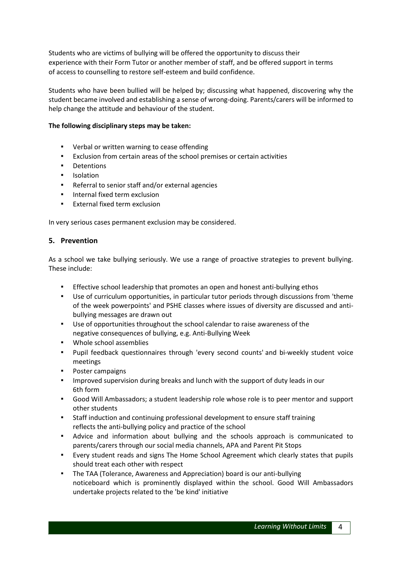Students who are victims of bullying will be offered the opportunity to discuss their experience with their Form Tutor or another member of staff, and be offered support in terms of access to counselling to restore self-esteem and build confidence.

Students who have been bullied will be helped by; discussing what happened, discovering why the student became involved and establishing a sense of wrong-doing. Parents/carers will be informed to help change the attitude and behaviour of the student.

#### **The following disciplinary steps may be taken:**

- Verbal or written warning to cease offending
- Exclusion from certain areas of the school premises or certain activities
- **Detentions**
- Isolation
- Referral to senior staff and/or external agencies
- Internal fixed term exclusion
- **External fixed term exclusion**

In very serious cases permanent exclusion may be considered.

#### **5. Prevention**

As a school we take bullying seriously. We use a range of proactive strategies to prevent bullying. These include:

- Effective school leadership that promotes an open and honest anti-bullying ethos
- Use of curriculum opportunities, in particular tutor periods through discussions from 'theme of the week powerpoints' and PSHE classes where issues of diversity are discussed and antibullying messages are drawn out
- Use of opportunities throughout the school calendar to raise awareness of the negative consequences of bullying, e.g. Anti-Bullying Week
- Whole school assemblies
- Pupil feedback questionnaires through 'every second counts' and bi-weekly student voice meetings
- Poster campaigns
- Improved supervision during breaks and lunch with the support of duty leads in our 6th form
- Good Will Ambassadors; a student leadership role whose role is to peer mentor and support other students
- Staff induction and continuing professional development to ensure staff training reflects the anti-bullying policy and practice of the school
- Advice and information about bullying and the schools approach is communicated to parents/carers through our social media channels, APA and Parent Pit Stops
- Every student reads and signs The Home School Agreement which clearly states that pupils should treat each other with respect
- The TAA (Tolerance, Awareness and Appreciation) board is our anti-bullying noticeboard which is prominently displayed within the school. Good Will Ambassadors undertake projects related to the 'be kind' initiative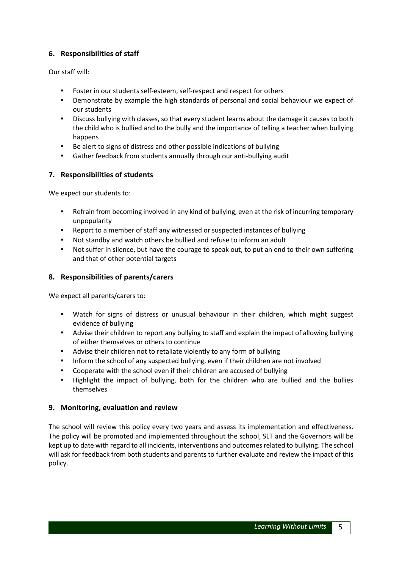# **6. Responsibilities of staff**

Our staff will:

- Foster in our students self-esteem, self-respect and respect for others
- Demonstrate by example the high standards of personal and social behaviour we expect of our students
- Discuss bullying with classes, so that every student learns about the damage it causes to both the child who is bullied and to the bully and the importance of telling a teacher when bullying happens
- Be alert to signs of distress and other possible indications of bullying
- Gather feedback from students annually through our anti-bullying audit

# **7. Responsibilities of students**

We expect our students to:

- Refrain from becoming involved in any kind of bullying, even at the risk of incurring temporary unpopularity
- Report to a member of staff any witnessed or suspected instances of bullying
- Not standby and watch others be bullied and refuse to inform an adult
- Not suffer in silence, but have the courage to speak out, to put an end to their own suffering and that of other potential targets

# **8. Responsibilities of parents/carers**

We expect all parents/carers to:

- Watch for signs of distress or unusual behaviour in their children, which might suggest evidence of bullying
- Advise their children to report any bullying to staff and explain the impact of allowing bullying of either themselves or others to continue
- Advise their children not to retaliate violently to any form of bullying
- **·** Inform the school of any suspected bullying, even if their children are not involved
- Cooperate with the school even if their children are accused of bullying
- Highlight the impact of bullying, both for the children who are bullied and the bullies themselves

# **9. Monitoring, evaluation and review**

The school will review this policy every two years and assess its implementation and effectiveness. The policy will be promoted and implemented throughout the school, SLT and the Governors will be kept up to date with regard to all incidents, interventions and outcomes related to bullying. The school will ask for feedback from both students and parents to further evaluate and review the impact of this policy.